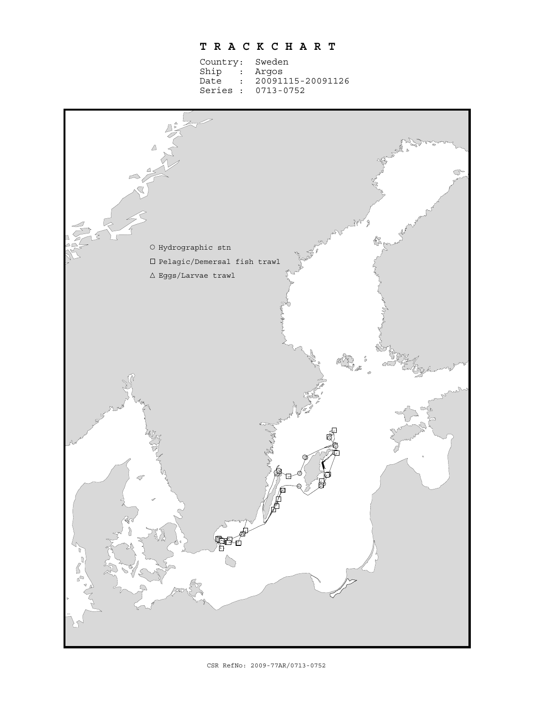## **T R A C K C H A R T**

| Country: Sweden          |  |  |  |  |  |  |  |  |
|--------------------------|--|--|--|--|--|--|--|--|
| Ship : Argos             |  |  |  |  |  |  |  |  |
| Date : 20091115-20091126 |  |  |  |  |  |  |  |  |
| Series: 0713-0752        |  |  |  |  |  |  |  |  |
|                          |  |  |  |  |  |  |  |  |

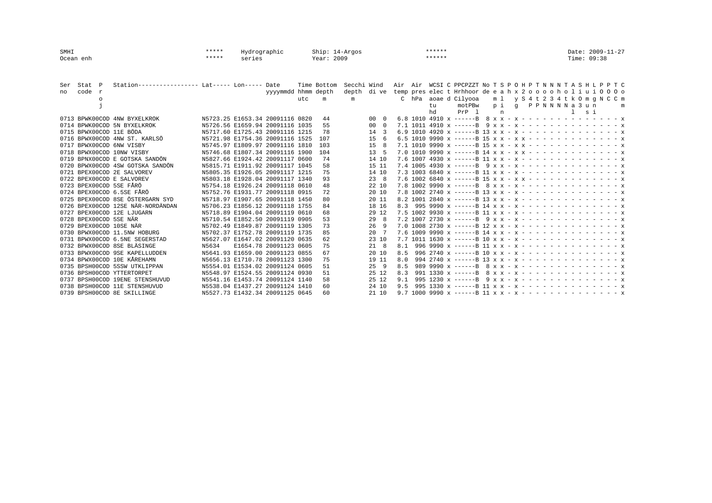| SMHI<br>Ocean enh |        |              | $******$<br>$***$ * * *                                     | Hydrographic<br>series |  |                                                                    | Ship: 14-Argos<br>Year: 2009 |             |             |                 | $******$<br>$******$ |           |                                                                                                   |          |          |            | Time: 09:38 | Date: 2009-11-27 |                                    |  |
|-------------------|--------|--------------|-------------------------------------------------------------|------------------------|--|--------------------------------------------------------------------|------------------------------|-------------|-------------|-----------------|----------------------|-----------|---------------------------------------------------------------------------------------------------|----------|----------|------------|-------------|------------------|------------------------------------|--|
| Ser               | Stat   | $\mathbb{P}$ | Station----------------- Lat----- Lon----- Date             |                        |  |                                                                    |                              | Time Bottom | Secchi Wind |                 |                      |           | Air Air WCSI C PPCPZZT No T S P O H P T N N N T A S H L P P T C                                   |          |          |            |             |                  |                                    |  |
| no                | code r |              |                                                             |                        |  | yyyymmdd hhmm depth                                                |                              |             | depth       | di ve           |                      |           | temp preselect Hrhhoor de eah x 2 o o o o h o l i u i 0 0 0 o                                     |          |          |            |             |                  |                                    |  |
|                   |        | $\circ$      |                                                             |                        |  |                                                                    | utc                          | m           | m           |                 |                      |           | C hPa aoae d Cilyooa                                                                              |          |          |            |             |                  | ml y S 4 t 2 3 4 t k 0 m q N C C m |  |
|                   |        |              |                                                             |                        |  |                                                                    |                              |             |             |                 |                      | tu.<br>hd | motPBw<br>$PrP = 1$                                                                               | p i<br>n | $\sigma$ | PPNNNNa3un |             | s i              | m                                  |  |
|                   |        |              | 0713 BPWK00COD 4NW BYXELKROK                                |                        |  | N5723.25 E1653.34 20091116 0820                                    |                              | 44          |             | 00.             |                      |           | 6.8 1010 4910 x ------B 8 x x - x - - - - - - - - - - - - - - x                                   |          |          |            |             |                  |                                    |  |
|                   |        |              | 0714 BPWK00COD 5N BYXELKROK                                 |                        |  | N5726.56 E1659.94 20091116 1035                                    |                              | 55          |             | 00              |                      |           |                                                                                                   |          |          |            |             |                  |                                    |  |
|                   |        |              | 0715 BPWX00COD 11E BÖDA                                     |                        |  | N5717.60 E1725.43 20091116 1215                                    |                              | 78          |             | 14              |                      |           | 6.9 1010 4920 x ------B 13 x x - x - - - - - - - - - - - - - - x                                  |          |          |            |             |                  |                                    |  |
|                   |        |              | 0716 BPWX00COD 4NW ST. KARLSÖ                               |                        |  | N5721.98 E1754.36 20091116 1525                                    |                              | 107         |             | 15              |                      |           | 6.5 1010 9990 x ------B 15 x x - x x - - - - - - - - - - - - - x                                  |          |          |            |             |                  |                                    |  |
|                   |        |              | 0717 BPWX00COD 6NW VISBY                                    |                        |  | N5745.97 E1809.97 20091116 1810                                    |                              | 103         |             | 1.5             |                      |           | 7.1 1010 9990 $x$ ------B 15 $x$ $x$ - $x$ $x$ - - - - - - - - - - - - $x$                        |          |          |            |             |                  |                                    |  |
|                   |        |              | 0718 BPWX00COD 10NW VISBY                                   |                        |  | N5746.68 E1807.34 20091116 1900                                    |                              | 104         |             | 13 <sup>1</sup> |                      |           |                                                                                                   |          |          |            |             |                  |                                    |  |
|                   |        |              | 0719 BPNX00COD E GOTSKA SANDÖN                              |                        |  | N5827.66 E1924.42 20091117 0600                                    |                              | 74          |             | 14 10           |                      |           | 7.6 1007 4930 $x$ ------B 11 $x$ $x$ - $x$ - - - - - - - - - - - - - $x$                          |          |          |            |             |                  |                                    |  |
|                   |        |              | 0720 BPWX00COD 4SW GOTSKA SANDÖN                            |                        |  | N5815.71 E1911.92 20091117 1045                                    |                              | 58          |             | 15 11           |                      |           | 7.4 1005 4930 x ------B 9 x x - x - - - - - - - - - - - - - - x                                   |          |          |            |             |                  |                                    |  |
|                   |        |              | 0721 BPEX00COD 2E SALVOREV                                  |                        |  | N5805.35 E1926.05 20091117 1215                                    |                              | 75          |             | 14 10           |                      |           |                                                                                                   |          |          |            |             |                  |                                    |  |
|                   |        |              | 0722 BPEX00COD E SALVOREV                                   |                        |  | N5803.18 E1928.04 20091117 1340                                    |                              | 93          |             | 238             |                      |           |                                                                                                   |          |          |            |             |                  |                                    |  |
|                   |        |              | 0723 BPEX00COD 5SE FÅRÖ                                     |                        |  | N5754.18 E1926.24 20091118 0610                                    |                              | 48          |             | 22 10           |                      |           | 7.8 1002 9990 x ------B 8 x x - x - - - - - - - - - - - - - - x                                   |          |          |            |             |                  |                                    |  |
|                   |        |              | 0724 BPEX00COD 6.5SE FÅRÖ                                   |                        |  | N5752.76 E1931.77 20091118 0915                                    |                              | 72          |             | 20 10           |                      |           | 7.8 1002 2740 $x$ ------B 13 $x$ $x$ - $x$ - - - - - - - - - - - - - $x$                          |          |          |            |             |                  |                                    |  |
|                   |        |              | 0725 BPEX00COD 8SE ÖSTERGARN SYD                            |                        |  | N5718.97 E1907.65 20091118 1450                                    |                              | 80          |             | 20 11           |                      |           | 8.2 1001 2840 $\times$ ------B 13 $\times$ $\times$ - $\times$ - - - - - - - - - - - - - $\times$ |          |          |            |             |                  |                                    |  |
|                   |        |              | 0726 BPEX00COD 12SE NÄR-NORDÄNDAN                           |                        |  | N5706.23 E1856.12 20091118 1755                                    |                              | 84          |             | 18 16           | 8.3                  |           | 995 9990 x ------B 14 x x - x - - - - - - - - - - - - - - x                                       |          |          |            |             |                  |                                    |  |
|                   |        |              | 0727 BPEX00COD 12E LJUGARN                                  |                        |  | N5718.89 E1904.04 20091119 0610                                    |                              | 68          |             | 29 12           |                      |           |                                                                                                   |          |          |            |             |                  |                                    |  |
|                   |        |              | 0728 BPEX00COD 5SE NÄR                                      |                        |  | N5710.54 E1852.50 20091119 0905                                    |                              | 53          |             | 29              |                      |           | 7.2 1007 2730 $x$ ------B 9 $x$ $x$ - $x$ - - - - - - - - - - - - - $x$                           |          |          |            |             |                  |                                    |  |
|                   |        |              | 0729 BPEX00COD 10SE NÄR                                     |                        |  | N5702.49 E1849.87 20091119 1305                                    |                              | 73          |             | 26              |                      |           | 7.0 1008 2730 $x$ ------B 12 $x$ $x$ - $x$ - - - - - - - - - - - - - $x$                          |          |          |            |             |                  |                                    |  |
|                   |        |              | 0730 BPWX00COD 11.5NW HOBURG                                |                        |  | N5702.37 E1752.78 20091119 1735                                    |                              | 85          |             | $20 -$          |                      |           | 7.6 1009 9990 $x$ ------B 14 $x$ $x$ - $x$ - - - - - - - - - - - - - $x$                          |          |          |            |             |                  |                                    |  |
|                   |        |              | 0731 BPWX00COD 6.5NE SEGERSTAD                              |                        |  | N5627.07 E1647.02 20091120 0635                                    |                              | 62          |             | 23 10           |                      |           | 7.7 1011 1630 $x$ ------B 10 $x$ $x$ - $x$ - - - - - - - - - - - - - $x$                          |          |          |            |             |                  |                                    |  |
|                   |        |              | 0732 BPWX00COD 8SE BLÄSINGE                                 | N5634                  |  | E1654.78 20091123 0605                                             |                              | 75          |             | 21 8            | 8.1                  |           |                                                                                                   |          |          |            |             |                  |                                    |  |
|                   |        |              | 0733 BPWX00COD 9SE KAPELLUDDEN                              |                        |  | N5641.93 E1659.00 20091123 0855                                    |                              | 67          |             | 20 10           | 8.5                  |           |                                                                                                   |          |          |            |             |                  |                                    |  |
|                   |        |              | 0734 BPWX00COD 10E KÅREHAMN                                 |                        |  | N5656.13 E1710.78 20091123 1300                                    |                              | 75          |             | 19 11           | 8.0                  |           |                                                                                                   |          |          |            |             |                  |                                    |  |
|                   |        |              | 0735 BPSH00COD 5SSW UTKLIPPAN<br>0736 BPSH00COD YTTERTORPET |                        |  | N5554.01 E1534.02 20091124 0605<br>N5548.97 E1524.55 20091124 0930 |                              | 51          |             | $25 - 9$        | 8.5                  |           | 989 9990 x ------B 8 x x - x - - - - - - - - - - - - - - x                                        |          |          |            |             |                  |                                    |  |
|                   |        |              | 0737 BPSH00COD 19ENE STENSHUVUD                             |                        |  | N5541.16 E1453.74 20091124 1140                                    |                              | 51          |             | 25 12           | 8.3                  |           | 991 1330 x ------B $8 x x - x - - - - - - - - - - - - - x$                                        |          |          |            |             |                  |                                    |  |
|                   |        |              | 0738 BPSH00COD 11E STENSHUVUD                               |                        |  | N5538.04 E1437.27 20091124 1410                                    |                              | 58<br>60    |             | 25 12<br>24 10  | 9.1<br>9.5           |           |                                                                                                   |          |          |            |             |                  |                                    |  |
|                   |        |              | 0739 BPSH00COD 8E SKILLINGE                                 |                        |  | N5527.73 E1432.34 20091125 0645                                    |                              | 60          |             | 21 10           |                      |           | 9.7 1000 9990 $x$ ------B 11 $x$ $x$ - $x$ - - - - - - - - - - - - - - $x$                        |          |          |            |             |                  |                                    |  |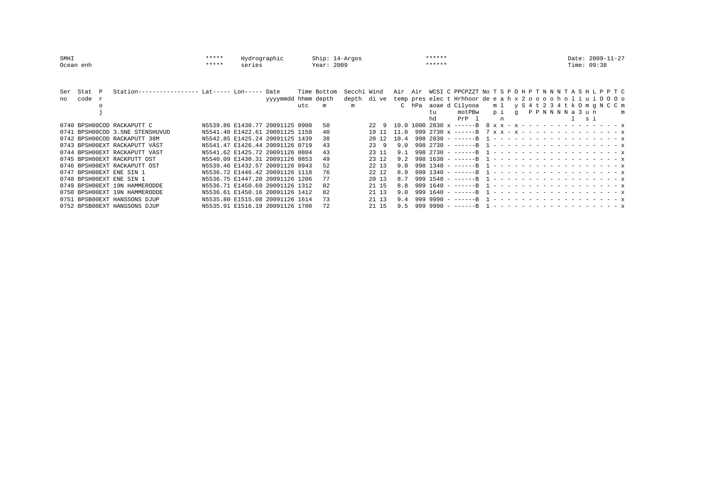| SMHI      |        |          |                                                 | ***** | Hydrographic                    |                     |            | $Ship: 14-Arqos$ |             |           |      |        | ******               |                                                                      | Date: 2009-11-27 |   |  |
|-----------|--------|----------|-------------------------------------------------|-------|---------------------------------|---------------------|------------|------------------|-------------|-----------|------|--------|----------------------|----------------------------------------------------------------------|------------------|---|--|
| Ocean enh |        |          | $******$<br>series                              |       |                                 |                     | Year: 2009 |                  |             |           |      | ****** |                      | Time: 09:38                                                          |                  |   |  |
|           |        |          |                                                 |       |                                 |                     |            |                  |             |           |      |        |                      |                                                                      |                  |   |  |
| Ser       | Stat P |          | Station----------------- Lat----- Lon----- Date |       |                                 |                     |            | Time Bottom      | Secchi Wind |           |      |        |                      | Air Air WCSI C PPCPZZT No T S P O H P T N N N T A S H L P P T C      |                  |   |  |
| no        | code r |          |                                                 |       |                                 | yyyymmdd hhmm depth |            |                  | depth       |           |      |        |                      | dive temp preselect Hrhhoor de e a h x 2 o o o o h o l i u i 0 0 0 o |                  |   |  |
|           |        | $\Omega$ |                                                 |       |                                 |                     | utc        | m                | m           |           |      |        | C hPa aoae d Cilyooa | ml y S 4 t 2 3 4 t k 0 m g N C C m                                   |                  |   |  |
|           |        |          |                                                 |       |                                 |                     |            |                  |             |           |      |        | motPBw<br>tu         | PPNNNNa 3 un<br>pi q                                                 |                  | m |  |
|           |        |          |                                                 |       |                                 |                     |            |                  |             |           |      |        | PrP 1<br>hd          | n                                                                    | l si             |   |  |
|           |        |          | 0740 BPSH00COD RACKAPUTT C                      |       | N5539.86 E1430.77 20091125 0900 |                     |            | 50               |             | 229       |      |        |                      | 10.0 1000 2830 x ------B 8 x x - x - - - - - - - - - - - - - - x     |                  |   |  |
|           |        |          | 0741 BPSH00COD 3.5NE STENSHUVUD                 |       | N5541.40 E1422.61 20091125 1150 |                     |            | 40               |             | 19 11     | 11.0 |        |                      | 999 2730 x ------B 7 x x - x - - - - - - - - - - - - - - x           |                  |   |  |
|           |        |          | 0742 BPSH00COD RACKAPUTT 38M                    |       | N5542.85 E1425.24 20091125 1439 |                     |            | 38               |             | 20 12     | 10.4 |        |                      |                                                                      |                  |   |  |
|           |        |          | 0743 BPSHOOEXT RACKAPUTT VÄST                   |       | N5541.47 E1426.44 20091126 0719 |                     |            | 43               |             | 23<br>- 9 | 9 N  |        |                      |                                                                      |                  |   |  |
|           |        |          | 0744 BPSHOOEXT RACKAPUTT VÄST                   |       | N5541.62 E1425.72 20091126 0804 |                     |            | 43               |             | 23 11     | 91   |        |                      |                                                                      |                  |   |  |
|           |        |          | 0745 BPSHOOEXT RACKPUTT OST                     |       | N5540.09 E1430.31 20091126 0853 |                     |            | 49               |             | 23 12     | 9.2  |        |                      |                                                                      |                  |   |  |
|           |        |          | 0746 BPSHOOEXT RACKAPUTT OST                    |       | N5539.46 E1432.57 20091126 0943 |                     |            | 52               |             | 22 13     | 9.0  |        |                      |                                                                      |                  |   |  |
|           |        |          | 0747 BPSHOOEXT ENE SIN 1                        |       | N5536.72 E1446.42 20091126 1118 |                     |            | 76               |             | 22 12     | 8.9  |        |                      |                                                                      |                  |   |  |
|           |        |          | 0748 BPSHOOEXT ENE SIN 1                        |       | N5536.75 E1447.20 20091126 1206 |                     |            | 77               |             | 20 13     | 8.7  |        |                      |                                                                      |                  |   |  |
|           |        |          | 0749 BPSH00EXT 19N HAMMERODDE                   |       | N5536.71 E1450.69 20091126 1312 |                     |            |                  |             | 21 15     | 8.8  |        |                      |                                                                      |                  |   |  |
|           |        |          | 0750 BPSH00EXT 19N HAMMERODDE                   |       | N5536.61 E1450.16 20091126 1412 |                     |            | 82               |             | 21 13     | 9 N  |        |                      |                                                                      |                  |   |  |
|           |        |          | 0751 BPSB00EXT HANSSONS DJUP                    |       | N5535.80 E1515.08 20091126 1614 |                     |            | 73               |             | 21 13     | 9.4  |        |                      |                                                                      |                  |   |  |
|           |        |          | 0752 BPSB00EXT HANSSONS DJUP                    |       | N5535.91 E1516.19 20091126 1700 |                     |            | 72               |             | 21 15     | 9.5  |        |                      |                                                                      |                  |   |  |